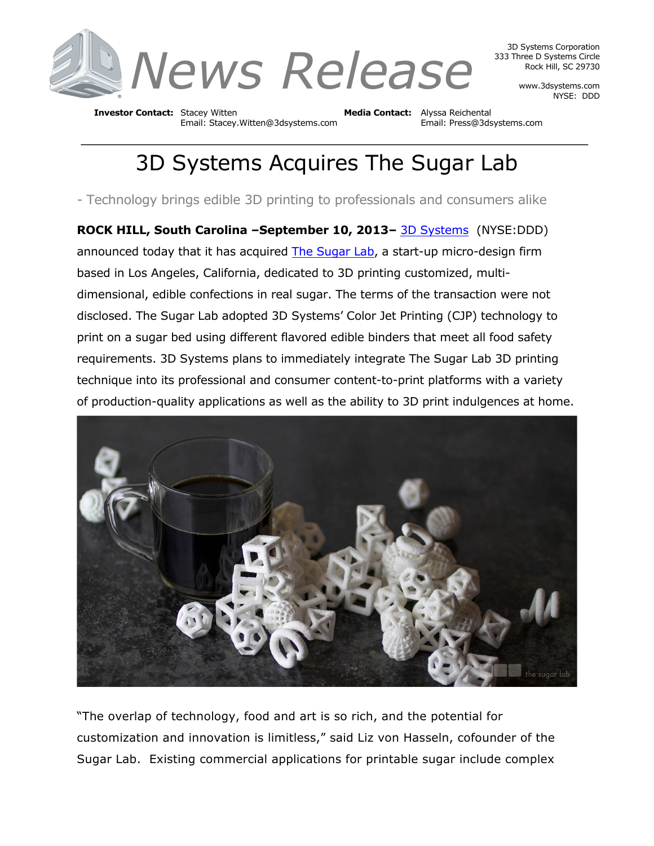

3D Systems Corporation 333 Three D Systems Circle Rock Hill, SC 29730

> www.3dsystems.com NYSE: DDD

**Investor Contact:** Stacey Witten **Media Contact:** Alyssa Reichental Email: Stacey.Witten@3dsystems.com

## 3D Systems Acquires The Sugar Lab

- Technology brings edible 3D printing to professionals and consumers alike

**ROCK HILL, South Carolina –September 10, 2013–** 3D Systems (NYSE:DDD) announced today that it has acquired The Sugar Lab, a start-up micro-design firm based in Los Angeles, California, dedicated to 3D printing customized, multidimensional, edible confections in real sugar. The terms of the transaction were not disclosed. The Sugar Lab adopted 3D Systems' Color Jet Printing (CJP) technology to print on a sugar bed using different flavored edible binders that meet all food safety requirements. 3D Systems plans to immediately integrate The Sugar Lab 3D printing technique into its professional and consumer content-to-print platforms with a variety of production-quality applications as well as the ability to 3D print indulgences at home.



"The overlap of technology, food and art is so rich, and the potential for customization and innovation is limitless," said Liz von Hasseln, cofounder of the Sugar Lab. Existing commercial applications for printable sugar include complex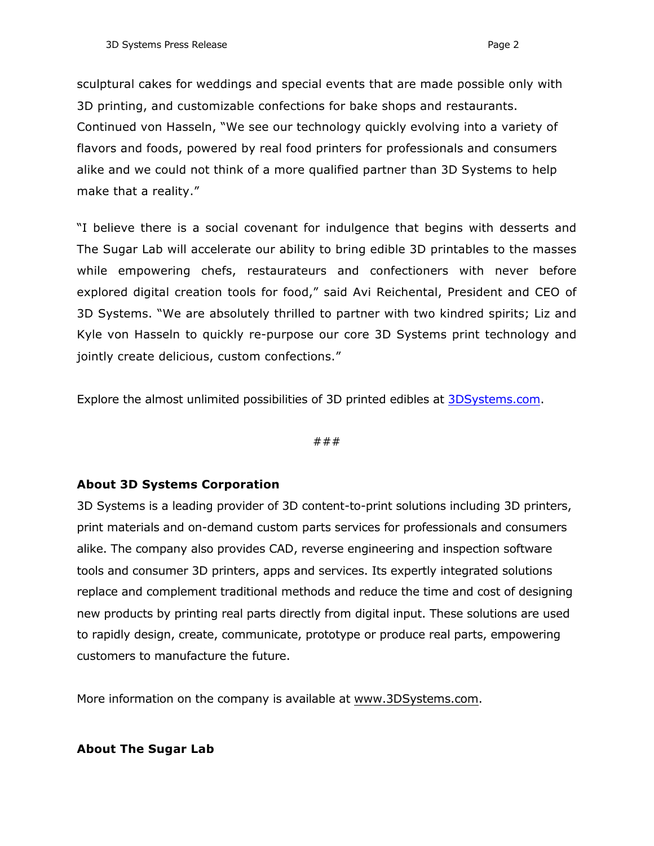sculptural cakes for weddings and special events that are made possible only with 3D printing, and customizable confections for bake shops and restaurants. Continued von Hasseln, "We see our technology quickly evolving into a variety of flavors and foods, powered by real food printers for professionals and consumers alike and we could not think of a more qualified partner than 3D Systems to help make that a reality."

"I believe there is a social covenant for indulgence that begins with desserts and The Sugar Lab will accelerate our ability to bring edible 3D printables to the masses while empowering chefs, restaurateurs and confectioners with never before explored digital creation tools for food," said Avi Reichental, President and CEO of 3D Systems. "We are absolutely thrilled to partner with two kindred spirits; Liz and Kyle von Hasseln to quickly re-purpose our core 3D Systems print technology and jointly create delicious, custom confections."

Explore the almost unlimited possibilities of 3D printed edibles at 3DSystems.com.

###

## **About 3D Systems Corporation**

3D Systems is a leading provider of 3D content-to-print solutions including 3D printers, print materials and on-demand custom parts services for professionals and consumers alike. The company also provides CAD, reverse engineering and inspection software tools and consumer 3D printers, apps and services. Its expertly integrated solutions replace and complement traditional methods and reduce the time and cost of designing new products by printing real parts directly from digital input. These solutions are used to rapidly design, create, communicate, prototype or produce real parts, empowering customers to manufacture the future.

More information on the company is available at www.3DSystems.com.

## **About The Sugar Lab**